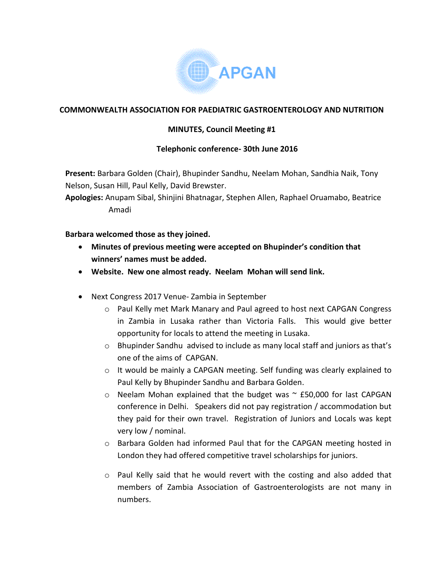

## **COMMONWEALTH ASSOCIATION FOR PAEDIATRIC GASTROENTEROLOGY AND NUTRITION**

## **MINUTES, Council Meeting #1**

## **Telephonic conference- 30th June 2016**

**Present:** Barbara Golden (Chair), Bhupinder Sandhu, Neelam Mohan, Sandhia Naik, Tony Nelson, Susan Hill, Paul Kelly, David Brewster.

**Apologies:** Anupam Sibal, Shinjini Bhatnagar, Stephen Allen, Raphael Oruamabo, Beatrice Amadi

## **Barbara welcomed those as they joined.**

- **Minutes of previous meeting were accepted on Bhupinder's condition that winners' names must be added.**
- **Website. New one almost ready. Neelam Mohan will send link.**
- Next Congress 2017 Venue- Zambia in September
	- o Paul Kelly met Mark Manary and Paul agreed to host next CAPGAN Congress in Zambia in Lusaka rather than Victoria Falls. This would give better opportunity for locals to attend the meeting in Lusaka.
	- $\circ$  Bhupinder Sandhu advised to include as many local staff and juniors as that's one of the aims of CAPGAN.
	- o It would be mainly a CAPGAN meeting. Self funding was clearly explained to Paul Kelly by Bhupinder Sandhu and Barbara Golden.
	- $\circ$  Neelam Mohan explained that the budget was  $\sim$  £50,000 for last CAPGAN conference in Delhi. Speakers did not pay registration / accommodation but they paid for their own travel. Registration of Juniors and Locals was kept very low / nominal.
	- o Barbara Golden had informed Paul that for the CAPGAN meeting hosted in London they had offered competitive travel scholarships for juniors.
	- $\circ$  Paul Kelly said that he would revert with the costing and also added that members of Zambia Association of Gastroenterologists are not many in numbers.